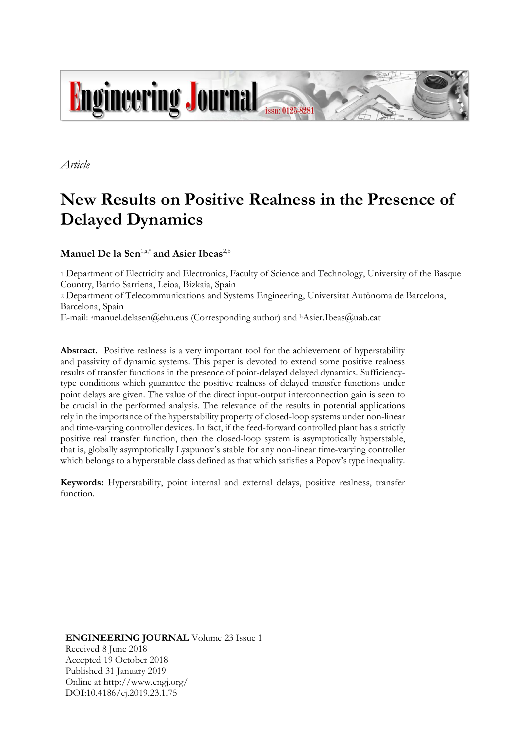

*Article*

# **New Results on Positive Realness in the Presence of Delayed Dynamics**

**Manuel De la Sen**1,a,\* **and Asier Ibeas**2,b

1 Department of Electricity and Electronics, Faculty of Science and Technology, University of the Basque Country, Barrio Sarriena, Leioa, Bizkaia, Spain

2 Department of Telecommunications and Systems Engineering, Universitat Autònoma de Barcelona, Barcelona, Spain

E-mail: amanuel.delasen@ehu.eus (Corresponding author) and bAsier.Ibeas@uab.cat

Abstract. Positive realness is a very important tool for the achievement of hyperstability and passivity of dynamic systems. This paper is devoted to extend some positive realness results of transfer functions in the presence of point-delayed delayed dynamics. Sufficiencytype conditions which guarantee the positive realness of delayed transfer functions under point delays are given. The value of the direct input-output interconnection gain is seen to be crucial in the performed analysis. The relevance of the results in potential applications rely in the importance of the hyperstability property of closed-loop systems under non-linear and time-varying controller devices. In fact, if the feed-forward controlled plant has a strictly positive real transfer function, then the closed-loop system is asymptotically hyperstable, that is, globally asymptotically Lyapunov's stable for any non-linear time-varying controller which belongs to a hyperstable class defined as that which satisfies a Popov's type inequality.

**Keywords:** Hyperstability, point internal and external delays, positive realness, transfer function.

**ENGINEERING JOURNAL** Volume 23 Issue 1 Received 8 June 2018 Accepted 19 October 2018 Published 31 January 2019 Online at http://www.engj.org/ DOI:10.4186/ej.2019.23.1.75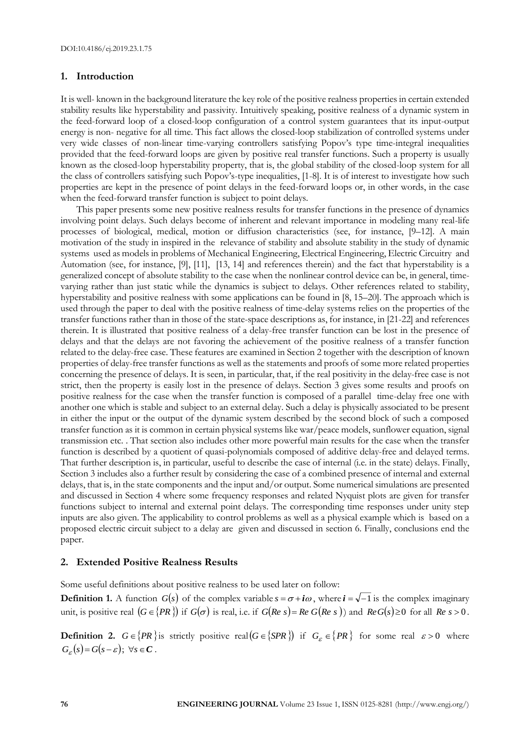## **1. Introduction**

It is well- known in the background literature the key role of the positive realness properties in certain extended stability results like hyperstability and passivity. Intuitively speaking, positive realness of a dynamic system in the feed-forward loop of a closed-loop configuration of a control system guarantees that its input-output energy is non- negative for all time. This fact allows the closed-loop stabilization of controlled systems under very wide classes of non-linear time-varying controllers satisfying Popov's type time-integral inequalities provided that the feed-forward loops are given by positive real transfer functions. Such a property is usually known as the closed-loop hyperstability property, that is, the global stability of the closed-loop system for all the class of controllers satisfying such Popov's-type inequalities, [1-8]. It is of interest to investigate how such properties are kept in the presence of point delays in the feed-forward loops or, in other words, in the case when the feed-forward transfer function is subject to point delays.

This paper presents some new positive realness results for transfer functions in the presence of dynamics involving point delays. Such delays become of inherent and relevant importance in modeling many real-life processes of biological, medical, motion or diffusion characteristics (see, for instance, [9–12]. A main motivation of the study in inspired in the relevance of stability and absolute stability in the study of dynamic systems used as models in problems of Mechanical Engineering, Electrical Engineering, Electric Circuitry and Automation (see, for instance, [9], [11], [13, 14] and references therein) and the fact that hyperstability is a generalized concept of absolute stability to the case when the nonlinear control device can be, in general, timevarying rather than just static while the dynamics is subject to delays. Other references related to stability, hyperstability and positive realness with some applications can be found in [8, 15–20]. The approach which is used through the paper to deal with the positive realness of time-delay systems relies on the properties of the transfer functions rather than in those of the state-space descriptions as, for instance, in [21-22] and references therein. It is illustrated that positive realness of a delay-free transfer function can be lost in the presence of delays and that the delays are not favoring the achievement of the positive realness of a transfer function related to the delay-free case. These features are examined in Section 2 together with the description of known properties of delay-free transfer functions as well as the statements and proofs of some more related properties concerning the presence of delays. It is seen, in particular, that, if the real positivity in the delay-free case is not strict, then the property is easily lost in the presence of delays. Section 3 gives some results and proofs on positive realness for the case when the transfer function is composed of a parallel time-delay free one with another one which is stable and subject to an external delay. Such a delay is physically associated to be present in either the input or the output of the dynamic system described by the second block of such a composed transfer function as it is common in certain physical systems like war/peace models, sunflower equation, signal transmission etc. . That section also includes other more powerful main results for the case when the transfer function is described by a quotient of quasi-polynomials composed of additive delay-free and delayed terms. That further description is, in particular, useful to describe the case of internal (i.e. in the state) delays. Finally, Section 3 includes also a further result by considering the case of a combined presence of internal and external delays, that is, in the state components and the input and/or output. Some numerical simulations are presented and discussed in Section 4 where some frequency responses and related Nyquist plots are given for transfer functions subject to internal and external point delays. The corresponding time responses under unity step inputs are also given. The applicability to control problems as well as a physical example which is based on a proposed electric circuit subject to a delay are given and discussed in section 6. Finally, conclusions end the paper.

# **2. Extended Positive Realness Results**

Some useful definitions about positive realness to be used later on follow:

**Definition 1.** A function  $G(s)$  of the complex variable  $s = \sigma + i\omega$ , where  $i = \sqrt{-1}$  is the complex imaginary unit, is positive real  $(G \in \{PR\})$  if  $G(\sigma)$  is real, i.e. if  $G(Re\ s) = Re\ G(Re\ s))$  and  $Re\ G(s) \ge 0$  for all  $Re\ s > 0$ .

**Definition 2.**  $G \in \{PR\}$  is strictly positive real  $(G \in \{SPR\})$  if  $G_{\varepsilon} \in \{PR\}$  for some real  $\varepsilon > 0$  where  $G_{\varepsilon}(s) = G(s - \varepsilon); \ \forall s \in \mathbb{C}.$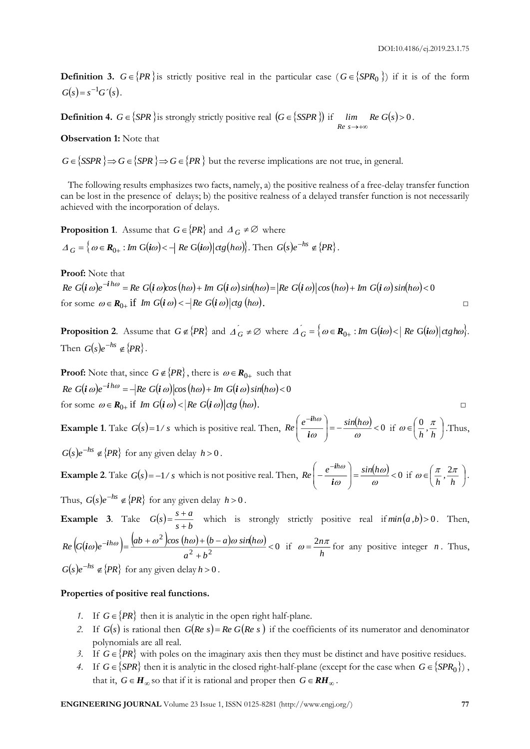**Definition 3.**  $G \in \{PR\}$  is strictly positive real in the particular case  $(G \in \{SPR_0\})$  if it is of the form  $G(s) = s^{-1}G'(s)$ .

**Definition 4.**  $G \in \{SPR \}$  is strongly strictly positive real  $(G \in \{SSPR \})$  if  $\lim_{Re \ s \to +\infty} Re \ G(s) > 0$ *lim Re G*(*s*  $\lim_{Re \ s \to +\infty}$  *Re*  $G(s) > 0$ .

**Observation 1:** Note that

 $G \in \{SSPR\} \Rightarrow G \in \{SPR\} \Rightarrow G \in \{PR\}$  but the reverse implications are not true, in general.

 The following results emphasizes two facts, namely, a) the positive realness of a free-delay transfer function can be lost in the presence of delays; b) the positive realness of a delayed transfer function is not necessarily achieved with the incorporation of delays.

**Proposition 1.** Assume that  $G \in \{PR\}$  and  $\Delta_G \neq \emptyset$  where

 $A_G = \left\{ \omega \in \mathbf{R}_{0+} : Im \; G(i\omega) < - \right\}$  *Re*  $G(i\omega) | \text{ctg}(h\omega) \right\}$ . Then  $G(s)e^{-hs} \notin \{PR\}$ .

**Proof:** Note that

 $Re\,\, G(i\,\omega)e^{-i\,h\omega} = Re\,\, G(i\,\omega)cos\,(h\omega) + Im\,\, G(i\,\omega)\,sin(h\omega) = |Re\,\, G(i\,\omega)|\cos\,(h\omega) + Im\,\, G(i\,\omega)\,sin(h\omega) < 0$ for some  $\omega \in \mathbf{R}_{0+}$  if  $Im G(i\omega) < -|Re G(i\omega)| \cos(h\omega)$ .

**Proposition 2.** Assume that  $G \notin \{PR\}$  and  $\overrightarrow{A}_G \neq \emptyset$  where  $\overrightarrow{A}_G = \{ \omega \in \mathbf{R}_{0+} : Im \ G(i\omega) < | \text{Re } G(i\omega) | \text{ctg } h\omega \}.$ Then  $G(s)e^{-hs} \notin \{PR\}$ .

**Proof:** Note that, since  $G \notin \{PR\}$ , there is  $\omega \in \mathbb{R}_{0+}$  such that  $Re \ G(i \ \omega)e^{-i \ h \omega} = -|Re \ G(i \ \omega)|\cos(\hbar \omega) + Im \ G(i \ \omega)\sin(\hbar \omega) < 0$ for some  $\omega \in \mathbf{R}_{0+}$  if  $Im G(i\omega) < |Re G(i\omega)| ctg(h\omega)$ .

**Example 1**. Take  $G(s)=1/s$  which is positive real. Then,  $Re\left(\frac{e^{-ih\omega}}{i\omega}\right)=-\frac{sin(h\omega)}{\omega}<0$ J J  $\setminus$ I I  $\overline{\mathcal{L}}$  $\int e^{-}$  $\omega$  $\omega$  $\omega$  $Re\left(\frac{e^{-\ln\omega}}{h}\right)=-\frac{\sin(h)}{h}$ *h i i* if  $\omega \in \left(\frac{0}{h}, \frac{\pi}{h}\right)$ |  $\left(\frac{0}{\cdot}, \frac{\pi}{\cdot}\right)$ l  $\in \left(\frac{0}{h}, \frac{\pi}{h}\right)$  $\omega \in \left(\frac{0}{\tau}, \frac{\pi}{\tau}\right)$ . Thus,

 $G(s)e^{-hs} \notin \{PR\}$  for any given delay  $h > 0$ .

**Example 2**. Take  $G(s) = -1/s$  which is not positive real. Then,  $Re\left(-\frac{e^{-ih\omega}}{i\omega}\right) = \frac{sin(h\omega)}{\omega} < 0$  $\overline{\phantom{a}}$ J  $\left( \right)$ I I  $\setminus$ ſ  $\overline{a}$  $\overline{a}$  $\omega$  $\omega$  $\omega$  $Re\left(-\frac{e^{-ih\omega}}{h}\right)=\frac{\sin(h\omega)}{h}$ *h i i* if  $\omega \in \left(\frac{\pi}{h}, \frac{2\pi}{h}\right)$ I  $\left(\frac{\pi}{\pi},\frac{2\pi}{\pi}\right)$ l  $\epsilon \left( \frac{\pi}{h}, \frac{2n}{h} \right)$  $\omega \in \left(\frac{\pi}{l},\frac{2\pi}{l}\right)$ .

Thus,  $G(s)e^{-hs} \notin \{PR\}$  for any given delay  $h > 0$ .

**Example 3**. Take  $G(s) = \frac{s+a}{s+b}$  $G(s) = \frac{s+a}{s+b}$  $=\frac{s+a}{l}$  which is strongly strictly positive real if  $min(a,b) > 0$ . Then,  $(G(i\omega)e^{-ih\omega}) = \frac{(ab + \omega^2)\cos(h\omega) + (b - a)\omega\sin(h\omega)}{2 + 1^2} < 0$ 2  $\,<$  $^+$  $\left(\frac{ab + \omega^2}{\omega^2 + b^2}\right) = \frac{(ab + \omega^2)(\cos(h\omega) + (b - \omega^2)}{a^2 + b^2}$  $Re\left(G(i\omega)e^{-ih\omega}\right) = \frac{\left(ab+\omega^2\right)\cos\left(h\omega\right)+\left(b-a\right)\omega\sin(h\omega)}{a^2+h^2} < 0$  if  $\omega = \frac{2n}{h}$  $\omega = \frac{2n\pi}{I}$  for any positive integer *n*. Thus,

 $G(s)e^{-hs} \notin \{PR\}$  for any given delay  $h > 0$ .

#### **Properties of positive real functions.**

- *1.* If  $G \in \{PR\}$  then it is analytic in the open right half-plane.
- 2. If  $G(s)$  is rational then  $G(Re s) = Re G(Re s)$  if the coefficients of its numerator and denominator polynomials are all real.
- 3. If  $G \in \{PR\}$  with poles on the imaginary axis then they must be distinct and have positive residues.
- *4.* If  $G \in \{SPR\}$  then it is analytic in the closed right-half-plane (except for the case when  $G \in \{SPR_0\}$ ), that it,  $G \in H_{\infty}$  so that if it is rational and proper then  $G \in RH_{\infty}$ .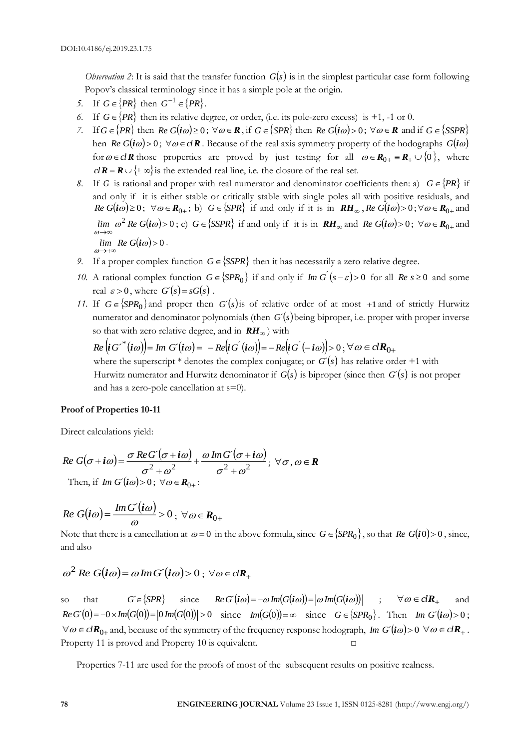*Observation 2*: It is said that the transfer function  $G(s)$  is in the simplest particular case form following Popov's classical terminology since it has a simple pole at the origin.

- *5.* If  $G \in \{PR\}$  then  $G^{-1} \in \{PR\}$ .
- 6. If  $G \in \{PR\}$  then its relative degree, or order, (i.e. its pole-zero excess) is +1, -1 or 0.
- *7.* If  $G \in \{PR\}$  then  $Re G(i\omega) \ge 0$ ;  $\forall \omega \in \mathbb{R}$ , if  $G \in \{SPR\}$  then  $Re G(i\omega) > 0$ ;  $\forall \omega \in \mathbb{R}$  and if  $G \in \{SSPR\}$ hen Re  $G(i\omega) > 0$ ;  $\forall \omega \in clR$ . Because of the real axis symmetry property of the hodographs  $G(i\omega)$ for  $\omega \in clR$  those properties are proved by just testing for all  $\omega \in R_{0+} = R_+ \cup \{0\}$ , where  $cl \, \mathbf{R} = \mathbf{R} \cup \{ \pm \infty \}$  is the extended real line, i.e. the closure of the real set.
- 8. If G is rational and proper with real numerator and denominator coefficients then: a)  $G \in \{PR\}$  if and only if it is either stable or critically stable with single poles all with positive residuals, and *Re*  $G(i\omega) \ge 0$ ;  $\forall \omega \in \mathbb{R}_{0+}$ ; b)  $G \in \{SPR\}$  if and only if it is in  $\mathbb{R}H_{\infty}$ ,  $Re G(i\omega) > 0$ ;  $\forall \omega \in \mathbb{R}_{0+}$  and  $\lim_{\omega \to \infty} \omega^2$  *Re*  $G(i\omega) > 0$ ; c)  $G \in \{SSPR\}$  if and only if it is in  $RH_\infty$  and  $Re G(i\omega) > 0$ ;  $\forall \omega \in R_{0+}$  and  $\omega$  $\lim$   $Re G(i\omega) > 0$ .  $ω→+∞$
- *9.* If a proper complex function  $G \in \{SSPR\}$  then it has necessarily a zero relative degree.
- *10.* A rational complex function  $G \in \{SPR_0\}$  if and only if *Im*  $G'(s-\varepsilon) > 0$  for all  $Re s \ge 0$  and some real  $\varepsilon > 0$ , where  $G'(s) = sG(s)$ .
- 11. If  $G \in \{SPR_0\}$  and proper then  $G'(s)$  is of relative order of at most +1 and of strictly Hurwitz numerator and denominator polynomials (then  $G(s)$  being biproper, i.e. proper with proper inverse so that with zero relative degree, and in  $\mathbf{R}H_{\infty}$ ) with

 $Re\left(iG^{\prime\ast}(i\omega)\right)=Im\ G^{\prime}(i\omega)=-Re\left[iG^{'}(i\omega)\right]=-Re\left[iG^{'}(-i\omega)\right]>0\ ;\ \forall\,\omega\in cl\mathbf{R}_{0+}$ where the superscript  $*$  denotes the complex conjugate; or  $G'(s)$  has relative order +1 with Hurwitz numerator and Hurwitz denominator if  $G(s)$  is biproper (since then  $G'(s)$  is not proper and has a zero-pole cancellation at s=0).

### **Proof of Properties 10-11**

Direct calculations yield:

$$
Re G(\sigma + i\omega) = \frac{\sigma Re G'(\sigma + i\omega)}{\sigma^2 + \omega^2} + \frac{\omega Im G'(\sigma + i\omega)}{\sigma^2 + \omega^2}; \ \forall \sigma, \omega \in \mathbb{R}
$$
  
Then, if Im G'(i\omega) > 0;  $\forall \omega \in \mathbb{R}_{0+}$ :

$$
Re\ G(i\omega) = \frac{Im\ G'(i\omega)}{\omega} > 0; \ \forall\omega \in R_{0+}
$$

Note that there is a cancellation at  $\omega = 0$  in the above formula, since  $G \in \{SPR_0\}$ , so that  $Re \ G(i0) > 0$ , since, and also

$$
\omega^2 Re G(i\omega) = \omega Im G'(i\omega) > 0; \ \forall \omega \in clR_+
$$

so that  $G \in \{SPR\}$  since  $Re G(i\omega) = -\omega Im(G(i\omega)) = |\omega Im(G(i\omega))|$  ;  $\forall \omega \in clR_+$ and  $Re G'(0) = -0 \times Im(G(0)) = |0 Im(G(0))| > 0$  since  $Im(G(0)) = \infty$  since  $G \in \{SPR_0\}$ . Then  $Im G'(i\omega) > 0$ ;  $\forall \omega \in clR_{0+}$  and, because of the symmetry of the frequency response hodograph, *Im*  $G'(i\omega) > 0$   $\forall \omega \in clR_+$ . Property 11 is proved and Property 10 is equivalent. □

Properties 7-11 are used for the proofs of most of the subsequent results on positive realness.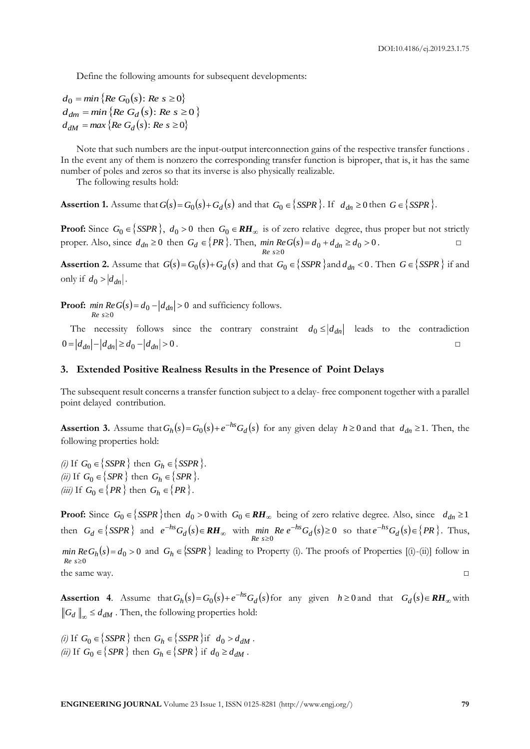Define the following amounts for subsequent developments:

 $d_0 = \min \{ Re \ G_0(s) : Re \ s \ge 0 \}$  $d_{dm} = min\{Re\ G_d(s): Re\ s \geq 0\}$  $d_{dM} = max \{ Re \ G_d(s) : Re \ s \geq 0 \}$ 

Note that such numbers are the input-output interconnection gains of the respective transfer functions . In the event any of them is nonzero the corresponding transfer function is biproper, that is, it has the same number of poles and zeros so that its inverse is also physically realizable.

The following results hold:

0 ≥ *Re <sup>s</sup>*

**Assertion 1.** Assume that  $G(s) = G_0(s) + G_d(s)$  and that  $G_0 \in \{SSPR\}$ . If  $d_{dn} \ge 0$  then  $G \in \{SSPR\}$ .

**Proof:** Since  $G_0 \in \{SSPR\}$ ,  $d_0 > 0$  then  $G_0 \in \mathbf{RH}_{\infty}$  is of zero relative degree, thus proper but not strictly proper. Also, since  $d_{dn} \ge 0$  then  $G_d \in \{PR\}$ . Then, min  $Re\,G(s) = d_0 + d_{dn} \ge d_0 > 0$ 0 ≥ *Re <sup>s</sup>* . □ □ □ □ □

**Assertion 2.** Assume that  $G(s) = G_0(s) + G_d(s)$  and that  $G_0 \in \{SSPR\}$  and  $d_{dn} < 0$ . Then  $G \in \{SSPR\}$  if and only if  $d_0 > |d_{dn}|$ .

**Proof:**  $\textit{min}\ \textit{Re}\ \textit{G}(s) = d_0 - |d_{dn}| > 0$  and sufficiency follows.

The necessity follows since the contrary constraint  $d_0 \leq |d_{dn}|$  leads to the contradiction  $0 = |d_{dn}| - |d_{dn}| \ge d_0 - |d_{dn}| > 0$ . . □

#### **3. Extended Positive Realness Results in the Presence of Point Delays**

The subsequent result concerns a transfer function subject to a delay- free component together with a parallel point delayed contribution.

**Assertion 3.** Assume that  $G_h(s) = G_0(s) + e^{-hs} G_d(s)$  for any given delay  $h \ge 0$  and that  $d_{dn} \ge 1$ . Then, the following properties hold:

(*i*) If  $G_0 \in \{SSPR\}$  then  $G_h \in \{SSPR\}$ . (*ii*) If  $G_0 \in \{SPR\}$  then  $G_h \in \{SPR\}$ . (*iii*) If  $G_0 \in \{PR\}$  then  $G_h \in \{PR\}$ .

**Proof:** Since  $G_0 \in \{SSPR\}$  then  $d_0 > 0$  with  $G_0 \in \mathbf{RH}_{\infty}$  being of zero relative degree. Also, since  $d_{dn} \geq 1$ then  $G_d \in \{SSPR\}$  and  $e^{-hs}G_d(s) \in \mathbf{RH}_{\infty}$  with min  $Re \ e^{-hs}G_d(s) \ge 0$  $\min_{\mathbf{e}}$   $\mathbf{e}$   $\mathbf{e}^{-h\mathbf{g}}$   $G_d(s)$   $\ge$ *Re*  $e^{-hs}G_d(s) \ge 0$  so that  $e^{-hs}G_d(s) \in \{PR\}$ . Thus,  $Re s \ge 0$ *min*  $Re G_h(s) = d_0 > 0$  and  $G_h \in \{SSPR\}$  leading to Property (i). The proofs of Properties [(i)-(ii)] follow in *Re* s≥0 the same way. □

**Assertion** 4. Assume that  $G_h(s) = G_0(s) + e^{-hs} G_d(s)$  for any given  $h \ge 0$  and that  $G_d(s) \in \mathbf{R}H_\infty$  with  $G_d \parallel_{\infty} \leq d_{dM}$ . Then, the following properties hold:

(*i*) If  $G_0 \in \{SSPR\}$  then  $G_h \in \{SSPR\}$  if  $d_0 > d_{dM}$ . (*ii*) If  $G_0 \in \{SPR\}$  then  $G_h \in \{SPR\}$  if  $d_0 \ge d_{dM}$ .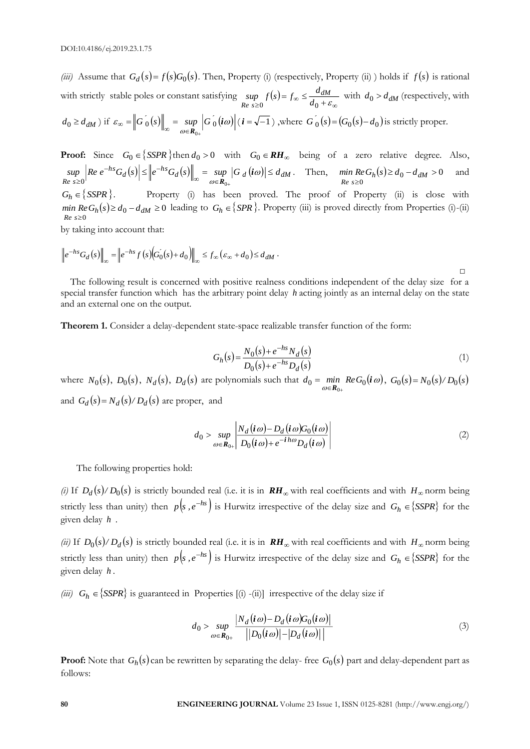(*iii*) Assume that  $G_d(s) = f(s)G_0(s)$ . Then, Property (i) (respectively, Property (ii)) holds if  $f(s)$  is rational with strictly stable poles or constant satisfying  $\sup_{Re s \ge 0} f(s) = f_{\infty} \le \frac{u_{dM}}{d_0 + \varepsilon_{\infty}}$  $\frac{dy}{dx}f(s)=f_{\infty}\leq \frac{am}{d_0+\varepsilon}$  $sup f(s) = f_{\infty} \leq \frac{d_{dM}}{s}$  $\sup_{Re s \ge 0} f(s) = f_{\infty} \le \frac{d^{d}M}{d_0 + \varepsilon_{\infty}}$  with  $d_0 > d_{dM}$  (respectively, with  $d_0 \ge d_{dM}$ ) if  $\varepsilon_{\infty} = \left\| G_0(s) \right\|_{\infty} = \sup_{\omega \in \mathbf{R}_{0}} \left| G_0(i\omega) \right|$ *i R*  $G_{0}(s)$  = sup  $G_{0}^{s}$  $\mathcal{L}_{\infty} = \left\| G_{0}(s) \right\|_{\infty} = \sup_{\omega \in \mathbb{R}_{0+}} \left| G_{0}(i\omega) \right| (i = \sqrt{-1})$ , where  $G_{0}(s) = (G_{0}(s) - d_{0})$  is strictly proper.

**Proof:** Since  $G_0 \in \{SSPR\}$  then  $d_0 > 0$  with  $G_0 \in \mathbf{RH}_{\infty}$  being of a zero relative degree. Also,  $\left| \int_{a}^{h} G_d(s) \right| \leq \left| e^{-h s} G_d(s) \right| = \sup |G_d(i\omega)| \leq d_{dM}$ *Re <sup>s</sup>*  $\sup |Re e^{-ns} G_d(s)| \leq |e^{-ns} G_d(s)| = \sup |G_d(i\omega)| \leq d$  $^\infty$   $\omega \in R_{0+}$  ≥  $\omega$  $\omega$ *i*  $0'$   $\qquad$   $\qquad$   $\qquad$   $\qquad$   $\qquad$   $\qquad$   $\qquad$   $\qquad$   $\qquad$   $\qquad$   $\qquad$   $\qquad$   $\qquad$   $\qquad$   $\qquad$   $\qquad$   $\qquad$   $\qquad$   $\qquad$   $\qquad$   $\qquad$   $\qquad$   $\qquad$   $\qquad$   $\qquad$   $\qquad$   $\qquad$   $\qquad$   $\qquad$   $\qquad$   $\qquad$   $\qquad$   $\qquad$   $\qquad$   $\qquad$   $\qquad$  Then,  $\min_{Re}$   $Re G_h(s) \ge d_0 - d_{dM} > 0$  $\geq d_0 - d_M$ *h*  $\mu$  **d**  $\sigma$  *h*  $\mu$  *s*  $\leq$  *d*  $\mu$  *d dM Re s*  $\geq$  0 *min*  $Re\, G_k(s) \geq d_0 - d$ and  $G_h \in \{SSPR\}$ . Property (i) has been proved. The proof of Property (ii) is close with *min*  $Re G_h(s) \ge d_0 - d_{dM} \ge 0$  leading to  $G_h \in \{SPR\}$ . Property (iii) is proved directly from Properties (i)-(ii) *Re* s≥0

by taking into account that:

$$
\left\|e^{-hs}G_d(s)\right\|_{\infty} = \left\|e^{-hs}f(s)\left(G_0(s) + d_0\right)\right\|_{\infty} \le f_{\infty}\left(\varepsilon_{\infty} + d_0\right) \le d_{dM}.
$$

 The following result is concerned with positive realness conditions independent of the delay size for a special transfer function which has the arbitrary point delay *h* acting jointly as an internal delay on the state and an external one on the output.

**Theorem 1.** Consider a delay-dependent state-space realizable transfer function of the form:

$$
G_h(s) = \frac{N_0(s) + e^{-hs} N_d(s)}{D_0(s) + e^{-hs} D_d(s)}\tag{1}
$$

where  $N_0(s)$ ,  $D_0(s)$ ,  $N_d(s)$ ,  $D_d(s)$  are polynomials such that  $d_0 = \min_{\omega \in \mathbb{R}_0} Re G_0(i\omega)$ *i*  $0 - \frac{mn}{\omega \in \mathbf{R}_{0+}}$  **R**  $\omega_0$  $d_0 = min$  **Reg**  $\in$ K $_{0+}$  $=$  *min*  $Re G_0(i\omega), G_0(s) = N_0(s)/D_0(s)$ and  $G_d(s) = N_d(s)/D_d(s)$  are proper, and

$$
d_0 > \sup_{\omega \in \mathbf{R}_{0+}} \left| \frac{N_d(i\omega) - D_d(i\omega)G_0(i\omega)}{D_0(i\omega) + e^{-i\hbar\omega}D_d(i\omega)} \right|
$$
 (2)

The following properties hold:

(i) If  $D_d(s)/D_0(s)$  is strictly bounded real (i.e. it is in  $RH_\infty$  with real coefficients and with  $H_\infty$  norm being strictly less than unity) then  $p(s, e^{-hs})$  is Hurwitz irrespective of the delay size and  $G_h \in \{SSPR\}$  for the given delay *<sup>h</sup>* .

(*ii*) If  $D_0(s)/D_d(s)$  is strictly bounded real (i.e. it is in  $RH_\infty$  with real coefficients and with  $H_\infty$  norm being strictly less than unity) then  $p(s, e^{-hs})$  is Hurwitz irrespective of the delay size and  $G_h \in \{SSPR\}$  for the given delay *h* .

(*iii*)  $G_h \in \{SSPR\}$  is guaranteed in Properties [(i) -(ii)] irrespective of the delay size if

$$
d_0 > \sup_{\omega \in \mathbf{R}_{0+}} \frac{|N_d(i\omega) - D_d(i\omega)G_0(i\omega)|}{||D_0(i\omega)| - |D_d(i\omega)||} \tag{3}
$$

**Proof:** Note that  $G_h(s)$  can be rewritten by separating the delay- free  $G_0(s)$  part and delay-dependent part as follows: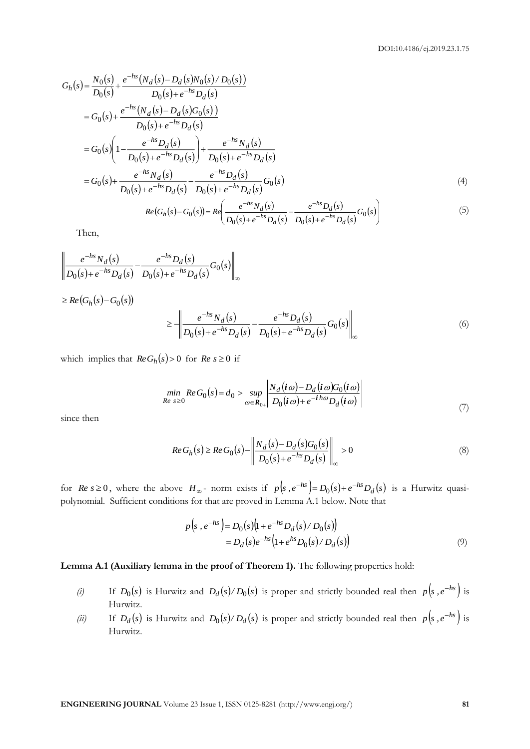$$
G_b(s) = \frac{N_0(s)}{D_0(s)} + \frac{e^{-ks}(N_d(s) - D_d(s)N_0(s)/D_0(s))}{D_0(s) + e^{-ks}D_d(s)}
$$
  
\n
$$
= G_0(s) + \frac{e^{-ks}(N_d(s) - D_d(s)N_0(s))}{D_0(s) + e^{-ks}D_d(s)}
$$
  
\n
$$
= G_0(s) \Biggl[1 - \frac{e^{-ks}D_d(s)}{D_0(s) + e^{-ks}D_d(s)}\Biggr] + \frac{e^{-ks}N_d(s)}{D_0(s) + e^{-ks}D_d(s)}
$$
  
\n
$$
= G_0(s) + \frac{e^{-ks}N_d(s)}{D_0(s) + e^{-ks}D_d(s)}\Biggr] + \frac{e^{-ks}D_d(s)}{D_0(s) + e^{-ks}D_d(s)}G_0(s)
$$
  
\n
$$
= G_0(s) + \frac{e^{-ks}N_d(s)}{D_0(s) + e^{-ks}D_d(s)}\Biggr] - \frac{e^{-ks}D_d(s)}{D_0(s) + e^{-ks}D_d(s)}\Biggl[ \frac{e^{-ks}N_d(s)}{D_0(s) + e^{-ks}D_d(s)} - \frac{e^{-ks}D_d(s)}{D_0(s) + e^{-ks}D_d(s)}G_0(s) \Biggr]
$$
  
\nThen,  
\n
$$
\Biggl| \frac{e^{-ks}N_d(s)}{D_0(s) + e^{-ks}D_d(s)} - \frac{e^{-ks}D_d(s)}{D_0(s) + e^{-ks}D_d(s)}\Biggr] - \frac{e^{-ks}D_d(s)}{D_0(s) + e^{-ks}D_d(s)}G_0(s) \Biggr| \Biggr] \ge 8\Re(G_b(s) - G_0(s))
$$
  
\n
$$
\ge - \Biggl| \frac{e^{-ks}N_d(s)}{D_0(s) + e^{-ks}D_d(s)} - \frac{e^{-ks}D_d(s)}{D_0(s) + e^{-ks}D_d(s)}G_0(s) \Biggr| \Biggr] \ge 0
$$
  
\nwhich implies that  $Re(G_b(s) > 0$  for  $Re s \ge 0$  if  
\n
$$
\lim_{R \to \pm 0} Re(G_b(s) - d_0 > \sup_{\omega \in R_{\text{lin}}} \left| \frac{N_d(s) - D_d(s)G_0(s)}{D_0(s) + e^{-ks}D_d(s)} \right| \ge 0
$$

$$
Re(G_h(s) - G_0(s)) = Re\left(\frac{e^{-\hbar s} N_d(s)}{D_0(s) + e^{-\hbar s} D_d(s)} - \frac{e^{-\hbar s} D_d(s)}{D_0(s) + e^{-\hbar s} D_d(s)} G_0(s)\right)
$$
(5)

Then,

$$
\left\| \frac{e^{-hs} N_d(s)}{D_0(s) + e^{-hs} D_d(s)} - \frac{e^{-hs} D_d(s)}{D_0(s) + e^{-hs} D_d(s)} G_0(s) \right\|_{\infty}
$$

$$
\geq Re\big(G_h(s)-G_0(s)\big)
$$

$$
\geq -\left\| \frac{e^{-hs} N_d(s)}{D_0(s) + e^{-hs} D_d(s)} - \frac{e^{-hs} D_d(s)}{D_0(s) + e^{-hs} D_d(s)} G_0(s) \right\|_{\infty} \tag{6}
$$

which implies that  $Re G_h(s) > 0$  for  $Re s \ge 0$  if

$$
\min_{Re \ s \ge 0} Re \ G_0(s) = d_0 > \sup_{\omega \in \mathbf{R}_{0+}} \left| \frac{N_d(i\omega) - D_d(i\omega)G_0(i\omega)}{D_0(i\omega) + e^{-i\omega}D_d(i\omega)} \right|
$$
(7)

since then

$$
Re\,G_h(s) \ge Re\,G_0(s) - \left\| \frac{N_d(s) - D_d(s)G_0(s)}{D_0(s) + e^{-hs} D_d(s)} \right\|_{\infty} > 0
$$
\n(8)

for  $\text{Re } s \ge 0$ , where the above  $H_{\infty}$ - norm exists if  $p(s, e^{-hs}) = D_0(s) + e^{-hs} D_d(s)$  is a Hurwitz quasipolynomial. Sufficient conditions for that are proved in Lemma A.1 below. Note that

$$
p(s, e^{-hs}) = D_0(s)(1 + e^{-hs}D_d(s)/D_0(s))
$$
  
=  $D_d(s)e^{-hs}(1 + e^{hs}D_0(s)/D_d(s))$  (9)

### **Lemma A.1 (Auxiliary lemma in the proof of Theorem 1).** The following properties hold:

- (*i*) If  $D_0(s)$  is Hurwitz and  $D_d(s)/D_0(s)$  is proper and strictly bounded real then  $p(s, e^{-hs})$  is Hurwitz.
- (*ii*) If  $D_d(s)$  is Hurwitz and  $D_0(s)/D_d(s)$  is proper and strictly bounded real then  $p(s, e^{-hs})$  is Hurwitz.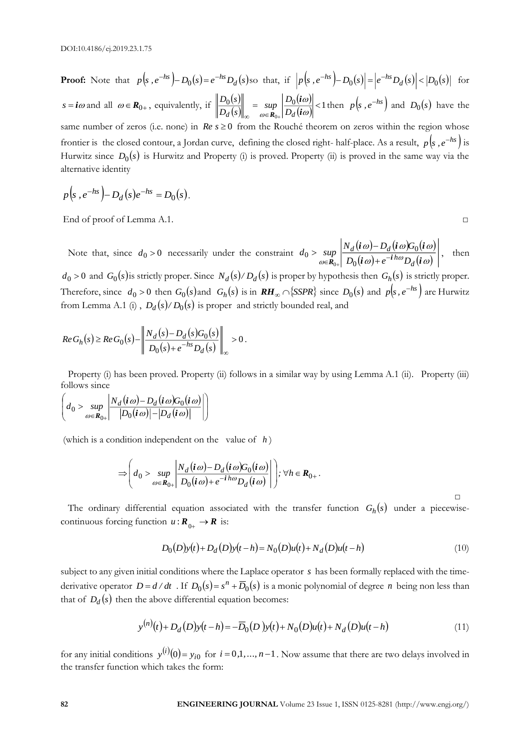**Proof:** Note that  $p(s, e^{-hs}) - D_0(s) = e^{-hs} D_d(s)$  so that, if  $|p(s, e^{-hs}) - D_0(s)| = |e^{-hs} D_d(s)| < |D_0(s)|$  for  $s = i\omega$  and all  $\omega \in \mathbf{R}_{0+}$ , equivalently, if  $\left| \frac{D_0(s)}{D_0(s)} \right|$  $(s)$  $(i\omega)$  $\frac{\partial(s)}{\partial(s)}\bigg|_{\infty} = \sup_{\omega \in \mathbf{R}_{0+}} \left| \frac{D_0(i\omega)}{D_d(i\omega)} \right| < 1$ 0  $=$   $\sup$   $\frac{|-\circ \cdot \cdot \cdot \cdot|}{\cdot \cdot \cdot \cdot}$   $\lt$  $_{\infty}$   $\omega \in R_{0+}$   $D_d$   $(u \omega)$  $\omega$  $_{\omega \in \mathbf{R}_0}$ ,  $D_d(i)$ *i*  $d\left(s\right)$ ,  $\omega \in \mathbf{R}_0$ ,  $D_d$ *D*  $\frac{\partial}{\partial A(s)}$  =  $\sup_{\omega \in \mathbf{P}}$  $\frac{D_0(s)}{D_0(s)}$  =  $\sup \left| \frac{D_0(i\omega)}{D_0(s)} \right| < 1$  then  $p(s, e^{-hs})$  and  $D_0(s)$  have the same number of zeros (i.e. none) in  $\text{Re } s \geq 0$  from the Rouché theorem on zeros within the region whose frontier is the closed contour, a Jordan curve, defining the closed right- half-place. As a result,  $p(s, e^{-hs})$  is Hurwitz since  $D_0(s)$  is Hurwitz and Property (i) is proved. Property (ii) is proved in the same way via the alternative identity

$$
p(s, e^{-hs}) - D_d(s)e^{-hs} = D_0(s).
$$

End of proof of Lemma A.1.  $\Box$ 

Note that, since  $d_0 > 0$  necessarily under the constraint  $d_0 > \sup \left| \frac{N_d(i\omega) - D_d(i\omega)G_0(i\omega)}{N_d(i\omega) - i\omega} \right|$  $(i\omega) + e^{-i h\omega} D_d(i\omega)$  $\omega$  )  $D_{J}$  (  $l$   $\omega$  )Grafi  $\omega$  $\omega \in \mathbb{R}_{\geq 0}$   $D_0(i\omega) + e^{-i n \omega} D_d(i\omega)$  $\bm{i} \omega$ ) – D<sub>a</sub> ( $\bm{i} \omega$ ) $G_0$ ( $\bm{i}$  $\left| \begin{array}{c} P \\ R_{0+} \end{array} \right| D_0(i\omega) + e^{-i\,h\omega} D_d$  $d$   $(\mathbf{u} \omega)$  –  $\mathbf{u}_d$  $D_0(i\omega) + e^{-i m\omega}D$  $d_0 > \sup_{\omega \in \mathbf{R}_0} \left| \frac{N_d(i\omega) - D_d(i\omega)G}{D_0(i\omega) + e^{-i\omega}D_d} \right|$  $>$  sup  $\frac{N d(u \omega)}{T}$  $\mu_{\parallel}$   $\boldsymbol{\nu}_{0}$  $\omega_0$  > sup  $\frac{|N_d(u_0) - D_d(u_0)|}{|U|}$  $^{\rm 0}$ , then

 $d_0 > 0$  and  $G_0(s)$  is strictly proper. Since  $N_d(s)/D_d(s)$  is proper by hypothesis then  $G_h(s)$  is strictly proper. Therefore, since  $d_0 > 0$  then  $G_0(s)$  and  $G_h(s)$  is in  $\mathbf{RH}_{\infty} \cap \{SSPR\}$  since  $D_0(s)$  and  $p(s, e^{-hs})$  are Hurwitz from Lemma A.1 (i) ,  $D_d(s)/D_0(s)$  is proper and strictly bounded real, and

$$
Re\, G_h(s) \geq Re\, G_0(s) - \left\| \frac{N_d(s) - D_d(s) G_0(s)}{D_0(s) + e^{-hs} D_d(s)} \right\|_{\infty} > 0.
$$

Property (i) has been proved. Property (ii) follows in a similar way by using Lemma A.1 (ii). Property (iii) follows since

$$
\left(d_0 > \sup_{\omega \in \mathbf{R}_{0+}} \left| \frac{N_d(i\omega) - D_d(i\omega)G_0(i\omega)}{|D_0(i\omega)| - |D_d(i\omega)|} \right| \right)
$$

(which is a condition independent on the value of *h* )

$$
\Rightarrow \left(d_0 > \sup_{\omega \in \mathbf{R}_{0+}} \left| \frac{N_d(i\omega) - D_d(i\omega)G_0(i\omega)}{D_0(i\omega) + e^{-i\omega}D_d(i\omega)} \right| \right); \ \forall h \in \mathbf{R}_{0+}.
$$

The ordinary differential equation associated with the transfer function  $G_h(s)$  under a piecewisecontinuous forcing function  $u: \mathbf{R}_{0+} \to \mathbf{R}$  is:

$$
D_0(D)y(t) + D_d(D)y(t - h) = N_0(D)u(t) + N_d(D)u(t - h)
$$
\n(10)

subject to any given initial conditions where the Laplace operator *s* has been formally replaced with the timederivative operator  $D = d/dt$ . If  $D_0(s) = s^n + \overline{D}_0(s)$  is a monic polynomial of degree *n* being non less than that of  $D_d(s)$  then the above differential equation becomes:

$$
y^{(n)}(t) + D_d(D)y(t-h) = -\overline{D}_0(D)y(t) + N_0(D)u(t) + N_d(D)u(t-h)
$$
\n(11)

for any initial conditions  $y^{(i)}(0) = y_{i0}$  for  $i = 0,1,..., n-1$ . Now assume that there are two delays involved in the transfer function which takes the form: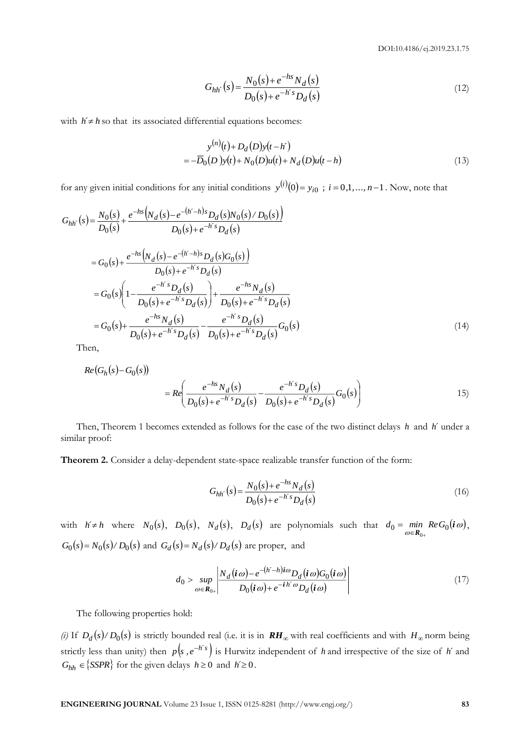$$
G_{hh'}(s) = \frac{N_0(s) + e^{-hs} N_d(s)}{D_0(s) + e^{-h's} D_d(s)}
$$
(12)

with  $h \neq h$  so that its associated differential equations becomes:

$$
y^{(n)}(t) + D_d(D)y(t - h')
$$
  
=  $-\overline{D}_0(D)y(t) + N_0(D)u(t) + N_d(D)u(t - h)$  (13)

for any given initial conditions for any initial conditions  $y^{(i)}(0) = y_{i0}$ ;  $i = 0,1,..., n-1$ . Now, note that

$$
G_{hh'}(s) = \frac{N_0(s) + e^{-K_0}N_0(s)}{D_0(s) + e^{-K_0}D_d(s)}
$$
(12)  
with  $h \neq h$  so that its associated differential equations becomes:  

$$
= -\overline{D_0}(D)(v) + N_0(D)\mu(v) + N_d(D)\mu(v-h)
$$
(3)  
for any given initial conditions for any initial conditions  $y^{(i)}(0) = y_{i0}$ ;  $i = 0,1,...,n-1$ . Now, note that  

$$
G_{hh'}(s) = \frac{N_0(s)}{D_0(s)} + \frac{e^{-ks}(N_d(s) - e^{-(k'-h)s}D_d(s)N_0(s) \cdot D_0(s))}{D_0(s) + e^{-k's}D_d(s)}
$$

$$
= G_0(s) + \frac{e^{-k_0}(N_d(s) - e^{-(k'-h)s}D_d(s)N_0(s) \cdot D_0(s))}{D_0(s) + e^{-k's}D_d(s)}
$$

$$
= G_0(s) + \frac{e^{-k_0}(N_d(s) - e^{-(k'-h)s}D_d(s) \cdot E_0(s))}{D_0(s) + e^{-k's}D_d(s)}
$$
(14)  
Then,  

$$
R_e(G_h(s) - G_0(s))
$$

$$
= R_e \frac{e^{-ks}N_d(s)}{D_0(s) + e^{-k's}D_d(s)} - \frac{e^{-ks}N_d(s)}{D_0(s) + e^{-k's}D_d(s)}G_0(s)
$$
(14)  
Then,  

$$
R_e(G_h(s) - G_0(s))
$$

$$
= R_e \frac{e^{-ks}N_d(s)}{D_0(s) + e^{-k's}D_d(s)} - \frac{e^{-k's}D_d(s)}{D_0(s) + e^{-k's}D_d(s)}G_0(s)
$$
(15)  
Then, Theorem 1 becomes extended as follows for the case of the two distinct delays h and h' under a similar proof:  

$$
G_{hh'}(s) = \frac{N_0(s) + e^{-k's}D_d(s)}{D_0(s) + e^{-k's}D_d(s)}
$$
(16)  
with  $h' \neq h$  where  $N_0(s)$ ,  $D_0(s)$ ,  $N_d(s)$ ,  $D_d(s)$  are polynomials such that  $d_0 = \frac{min}{\omega R_0}$ ,  $ReG_0(i\omega)$ 

Then,

$$
Re(G_h(s) - G_0(s))
$$
  
=  $Re\left(\frac{e^{-hs}N_d(s)}{D_0(s) + e^{-h's}D_d(s)} - \frac{e^{-h's}D_d(s)}{D_0(s) + e^{-h's}D_d(s)}G_0(s)\right)$  (15)

Then, Theorem 1 becomes extended as follows for the case of the two distinct delays *h* and *h´* under a similar proof:

**Theorem 2.** Consider a delay-dependent state-space realizable transfer function of the form:

$$
G_{hh'}(s) = \frac{N_0(s) + e^{-hs} N_d(s)}{D_0(s) + e^{-h's} D_d(s)}
$$
(16)

with  $h \neq h$  where  $N_0(s)$ ,  $D_0(s)$ ,  $N_d(s)$ ,  $D_d(s)$  are polynomials such that  $d_0 = \min_{\omega \in \mathbb{R}_0} Re G_0(i\omega)$ *i*  $\omega_0 = \frac{m n}{\omega \epsilon R_{0+}}$  *R*  $\omega_0$  $d_0 = min$  **Reg**  $\in$ K $_{0+}$  $=$  min  $Re G_0(i\omega)$ ,  $G_0(s) = N_0(s)/D_0(s)$  and  $G_d(s) = N_d(s)/D_d(s)$  are proper, and

$$
d_0 > \sup_{\omega \in \mathbf{R}_{0+}} \left| \frac{N_d(i\omega) - e^{-(h'-h)i\omega} D_d(i\omega) G_0(i\omega)}{D_0(i\omega) + e^{-ih'\omega} D_d(i\omega)} \right| \tag{17}
$$

The following properties hold:

(i) If  $D_d(s)/D_0(s)$  is strictly bounded real (i.e. it is in  $RH_\infty$  with real coefficients and with  $H_\infty$  norm being strictly less than unity) then  $p(s, e^{-h's})$  is Hurwitz independent of *h* and irrespective of the size of *h*<sup>*c*</sup> and  $G_{hh} \in \{SSPR\}$  for the given delays  $h \ge 0$  and  $h \ge 0$ .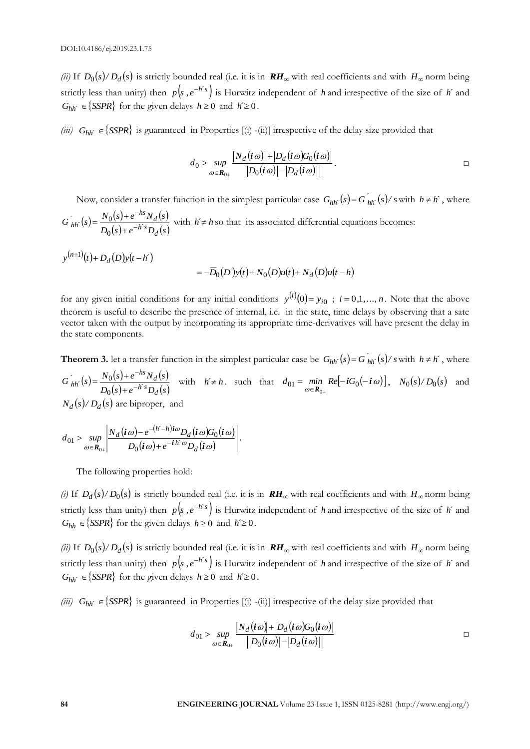(*ii*) If  $D_0(s)/D_d(s)$  is strictly bounded real (i.e. it is in  $RH_\infty$  with real coefficients and with  $H_\infty$  norm being strictly less than unity) then  $p(s, e^{-h's})$  is Hurwitz independent of *h* and irrespective of the size of *h*<sup>*'*</sup> and  $G_{hh'} \in \{SSPR\}$  for the given delays  $h \ge 0$  and  $h' \ge 0$ .

(iii)  $G_{hh'} \in \{SSPR\}$  is guaranteed in Properties [(i) -(ii)] irrespective of the delay size provided that

$$
d_0 > \sup_{\omega \in \mathbf{R}_{0+}} \frac{|N_d(i\omega)| + |D_d(i\omega)G_0(i\omega)|}{||D_0(i\omega)| - |D_d(i\omega)||}.
$$

Now, consider a transfer function in the simplest particular case  $G_{hh'}(s) = G_{hh'}(s)/s$  with  $h \neq h'$ , where  $(s) = \frac{N_0(s) + e^{-hs} N_d(s)}{(s) - k_s(s)}$  $D_0(s) + e^{-h^2 s} D_d(s)$  $G_{hk'}(s) = \frac{N_0(s) + e^{-ns} N_d(s)}{s}$ *d h´s*  $d_{hh'}(s) = \frac{N_0(s) + e^{-hs} N_d}{D_{h}(s) + e^{-hs} D_{h}(s)}$ т,  $^+$  $=\frac{N_0(s)+}{D_0(s)+}$  $\frac{0^{(3)} + e^{-N} N}{N}$  with  $h \neq h$  so that its associated differential equations becomes:

$$
y^{(n+1)}(t) + D_d(D)y(t - h')
$$
  
=  $-\overline{D}_0(D)y(t) + N_0(D)u(t) + N_d(D)u(t - h)$ 

for any given initial conditions for any initial conditions  $y^{(i)}(0) = y_{i0}$ ;  $i = 0,1,...,n$ . Note that the above theorem is useful to describe the presence of internal, i.e. in the state, time delays by observing that a sate vector taken with the output by incorporating its appropriate time-derivatives will have present the delay in the state components.

**Theorem 3.** let a transfer function in the simplest particular case be  $G_{hh}(s) = G_{hh'}(s)/s$  with  $h \neq h'$ , where

 $(s) = \frac{N_0(s) + e^{-hs} N_d(s)}{(s) + e^{-hs} N_d(s)}$  $D_0(s) + e^{-h^2 s} D_d(s)$  $G_{hk'}(s) = \frac{N_0(s) + e^{-ns} N_d(s)}{s}$  ${}^{h^{\prime}s}D_d$  $d_{hh'}(s) = \frac{N_0(s) + e^{-hs} N_d}{D_{h}(s) + e^{-hs} D_{h}(s)}$ т,  $^+$  $=\frac{N_0(s)+}{D_0(s)+}$  $\frac{\partial^{(3)+e} N_d^{(3)}}{\partial(s)+e^{-h^s}D_s(s)}$  with  $h^2\neq h$ . such that  $d_{01} = \min_{\omega \in \mathbf{R}_{0+}} Re[-iG_0(-i\omega)]$  $iG_0(-i$  $d_{01} = \min_{\omega \in \mathbb{R}_{0+}} Re[-iG_0(-i\omega)], \quad N_0(s)/D_0(s)$  and  $N_d(s)/D_d(s)$  are biproper, and

$$
d_{01} > \sup_{\omega \in \mathbf{R}_{0+}} \left| \frac{N_d(i\omega) - e^{-(h'-h)i\omega} D_d(i\omega) G_0(i\omega)}{D_0(i\omega) + e^{-ih'\omega} D_d(i\omega)} \right|.
$$

The following properties hold:

(i) If  $D_d(s)/D_0(s)$  is strictly bounded real (i.e. it is in  $RH_\infty$  with real coefficients and with  $H_\infty$  norm being strictly less than unity) then  $p(s, e^{-h's})$  is Hurwitz independent of *h* and irrespective of the size of *h*<sup>*c*</sup> and  $G_{hh} \in \{SSPR\}$  for the given delays  $h \ge 0$  and  $h \ge 0$ .

(*ii*) If  $D_0(s)/D_d(s)$  is strictly bounded real (i.e. it is in  $RH_\infty$  with real coefficients and with  $H_\infty$  norm being strictly less than unity) then  $p(s, e^{-h's})$  is Hurwitz independent of *h* and irrespective of the size of *h*<sup>*'*</sup> and  $G_{hh'} \in \{SSPR\}$  for the given delays  $h \ge 0$  and  $h' \ge 0$ .

(iii)  $G_{hh'} \in \{SSPR\}$  is guaranteed in Properties [(i) -(ii)] irrespective of the delay size provided that

$$
d_{01} > \sup_{\omega \in \mathcal{R}_{0+}} \frac{\left|N_d(i\omega) + |D_d(i\omega)G_0(i\omega)|\right|}{\left| |D_0(i\omega) | - |D_d(i\omega)| \right|}
$$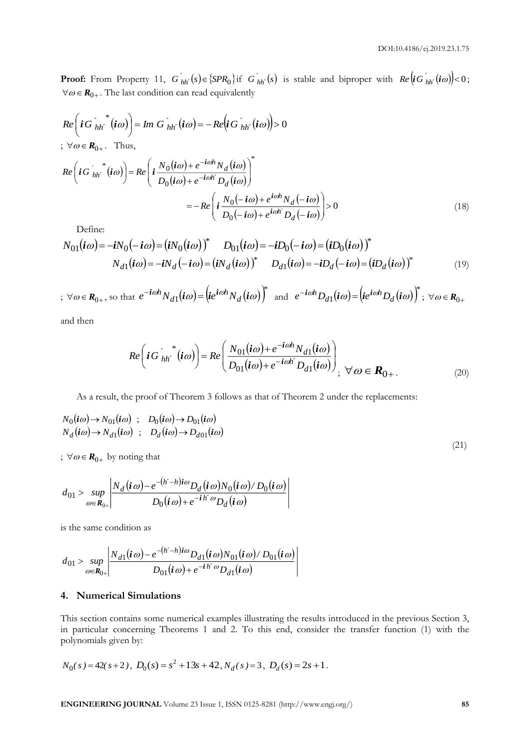**Proof:** From Property 11,  $G'_{hh'}(s) \in \{SPR_0\}$  if  $G'_{hh'}(s)$  is stable and biproper with  $Re\left(iG'_{hh'}(i\omega)\right) < 0$ ;  $\forall \omega \in R_{0+}$ . The last condition can read equivalently

$$
Re\left(iG_{hh'}^{\dagger}^*(i\omega)\right) = Im G_{hh'}^{\dagger}(i\omega) = -Re\left(iG_{hh'}^{\dagger}(i\omega)\right) > 0
$$
  
\n
$$
\forall \omega \in R_{0+}.\text{ Thus,}
$$
  
\n
$$
Re\left(iG_{hh'}^{\dagger}^*(i\omega)\right) = Re\left(i\frac{N_0(i\omega) + e^{-i\omega h}N_d(i\omega)}{D_0(i\omega) + e^{-i\omega h}D_d(i\omega)}\right)^*
$$
  
\n
$$
= -Re\left(i\frac{N_0(-i\omega) + e^{i\omega h}N_d(-i\omega)}{D_0(-i\omega) + e^{i\omega h}D_d(-i\omega)}\right) > 0
$$
\n(18)

Define:

$$
N_{01}(i\omega) = -iN_0(-i\omega) = (iN_0(i\omega))^* \qquad D_{01}(i\omega) = -iD_0(-i\omega) = (iD_0(i\omega))^*
$$

$$
N_{d1}(i\omega) = -iN_d(-i\omega) = (iN_d(i\omega))^* \qquad D_{d1}(i\omega) = -iD_d(-i\omega) = (iD_d(i\omega))^*
$$
(19)

;  $\forall \omega \in \mathbf{R}_{0+}$ , so that  $e^{-i\omega h} N_{d}(\mathbf{i}\omega) = (ie^{i\omega h} N_{d}(\mathbf{i}\omega))^*$ *h d*  $e^{-i\omega h}N_{d1}(i\omega) = (ie^{i\omega h}N_d(i\omega))^*$  and  $e^{-i\omega h}D_{d1}(i\omega) = (ie^{i\omega h}D_d(i\omega))^*$  $e^{-i\omega h}D_{d1}(i\omega) = (ie^{i\omega h}D_{d}(i\omega))^{\dagger}$ ;  $\forall \omega \in R_{0+}$ 

and then

$$
Re\left(\mathbf{i}G_{hh'}^{*}(i\omega)\right) = Re\left(\frac{N_{01}(i\omega) + e^{-i\omega h}N_{d1}(i\omega)}{D_{01}(i\omega) + e^{-i\omega h'}D_{d1}(i\omega)}\right)_{;\ \forall \omega \in \mathbf{R}_{0+}.\tag{20}
$$

As a result, the proof of Theorem 3 follows as that of Theorem 2 under the replacements:

$$
N_0(i\omega) \to N_{01}(i\omega) \quad ; \quad D_0(i\omega) \to D_{01}(i\omega) \nN_d(i\omega) \to N_{d1}(i\omega) \quad ; \quad D_d(i\omega) \to D_{d01}(i\omega)
$$
\n(21)

;  $\forall \omega \in \mathbf{R}_{0+}$  by noting that

$$
d_{01} > \sup_{\omega \in \mathcal{R}_{0+}} \left| \frac{N_d(i\omega) - e^{-(h'-h)i\omega} D_d(i\omega) N_0(i\omega) / D_0(i\omega)}{D_0(i\omega) + e^{-ih'\omega} D_d(i\omega)} \right|
$$

is the same condition as

$$
d_{01} > \sup_{\omega \in \mathbf{R}_{0+}} \left| \frac{N_{d1}(i\omega) - e^{-(h'-h)i\omega} D_{d1}(i\omega) N_{01}(i\omega) / D_{01}(i\omega)}{D_{01}(i\omega) + e^{-ih'\omega} D_{d1}(i\omega)} \right|
$$

## **4. Numerical Simulations**

This section contains some numerical examples illustrating the results introduced in the previous Section 3, in particular concerning Theorems 1 and 2. To this end, consider the transfer function (1) with the polynomials given by:

$$
N_0(s) = 42(s+2), D_0(s) = s^2 + 13s + 42, N_d(s) = 3, D_d(s) = 2s + 1.
$$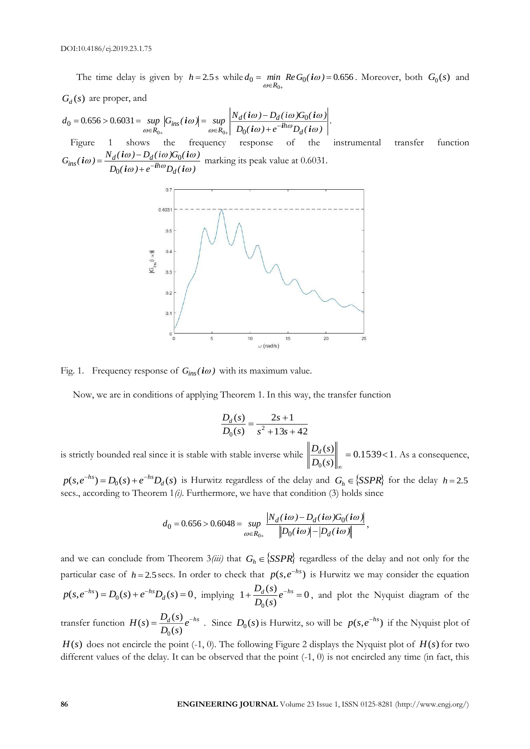The time delay is given by  $h = 2.5$  s while  $d_0 = \min_{\omega \in R_{0+}} Re G_0(i\omega) = 0.656$  $d_0 = \min_{\omega \in R_{0+}} Re\, G_0(i\omega) = 0.$  $\omega$  $\omega$ *) = 0.656. Moreover, both*  $G_0(s)$  *and* 

 $G_d(s)$  are proper, and

$$
d_0 = 0.656 > 0.6031 = \sup_{\omega \in R_{0+}} \left| G_{ins}(\boldsymbol{i}\omega) \right| = \sup_{\omega \in R_{0+}} \left| \frac{N_d(\boldsymbol{i}\omega) - D_d(\boldsymbol{i}\omega)G_0(\boldsymbol{i}\omega)}{D_0(\boldsymbol{i}\omega) + e^{-i\hbar\omega}D_d(\boldsymbol{i}\omega)} \right|.
$$

 Figure 1 shows the frequency response of the instrumental transfer function  $D_0(i\omega) + e^{-in\omega}D_d(i\omega)$  $G_{ins}(i\omega) = \frac{N_d(i\omega) - D_d(i\omega)G_0(i\omega)}{N_d}$  $^{ho}D_d$  $d_{ins}(\boldsymbol{i}\omega) = \frac{N_d(\boldsymbol{i}\omega) - D_d(\boldsymbol{i}\omega)\Theta_0(\boldsymbol{i}\omega)}{D_0(\boldsymbol{i}\omega) + e^{-i\hbar\omega}D_d(\boldsymbol{i}\omega)}$  $\omega = \frac{N_d (i\omega) - D_d (i\omega) G_0 (i\omega)}{D_0 (i\omega) + e^{-ih\omega} D_d (i\omega)}$  $\boldsymbol{i}\omega$ ) =  $\frac{N_d(\boldsymbol{i}\omega) - D_d(\boldsymbol{i}\omega)G_0(\boldsymbol{i}\omega)}{D_0(\boldsymbol{i}\omega) + e^{-i\boldsymbol{i}\omega}D_d(\boldsymbol{i}\omega)}$  $=\frac{N_d(i\omega)-N}{D_0(i\omega)+N}$  $\frac{0}{100}$  marking its peak value at 0.6031.



Fig. 1. Frequency response of  $G_{ins}$  ( $i\omega$ ) with its maximum value.

Now, we are in conditions of applying Theorem 1. In this way, the transfer function

$$
\frac{D_d(s)}{D_0(s)} = \frac{2s+1}{s^2+13s+42}
$$

is strictly bounded real since it is stable with stable inverse while  $\left\| \frac{D_d(s)}{D_d(s)} \right\| = 0.1539 < 1$  $\left( s\right)$  $\left( s\right)$ 0  $= 0.1539<$  $D_0(s)\|_{\infty}$  $\left\| \frac{D_d(s)}{D_s(s)} \right\| = 0.1539 < 1$ . As a consequence,

 $p(s, e^{-hs}) = D_0(s) + e^{-hs}D_d(s)$  is Hurwitz regardless of the delay and  $G_h \in \{SSPR\}$  for the delay  $h = 2.5$ secs., according to Theorem 1*(i)*. Furthermore, we have that condition (3) holds since

$$
d_0 = 0.656 > 0.6048 = \sup_{\omega \in R_{0+}} \frac{|N_d(i\omega) - D_d(i\omega)G_0(i\omega)|}{||D_0(i\omega) - |D_d(i\omega)||},
$$

and we can conclude from Theorem  $3(iii)$  that  $G_h \in \{SSPR\}$  regardless of the delay and not only for the particular case of  $h = 2.5$  secs. In order to check that  $p(s, e^{-hs})$  is Hurwitz we may consider the equation  $p(s, e^{-hs}) = D_0(s) + e^{-hs}D_d(s) = 0$ , implying  $1 + \frac{D_d(s)}{R}e^{-hs} = 0$  $\left( s\right)$  $1 + \frac{D_d(s)}{2}$ 0  $+\frac{D_d(s)}{D_o(s)}e^{-hs}$  $\frac{D_d(s)}{D_s(s)}e^{-hs} = 0$ , and plot the Nyquist diagram of the

transfer function  $H(s) = \frac{D_d(s)}{R} e^{-hs}$  $D_0(s)$  $H(s) = \frac{D_d(s)}{2}e^{-s}$  $\left( s\right)$  $(s) = \frac{D_d(s)}{s}$  $\overline{0}$ Since  $D_0(s)$  is Hurwitz, so will be  $p(s, e^{-hs})$  if the Nyquist plot of  $H(s)$  does not encircle the point (-1, 0). The following Figure 2 displays the Nyquist plot of  $H(s)$  for two different values of the delay. It can be observed that the point  $(-1, 0)$  is not encircled any time (in fact, this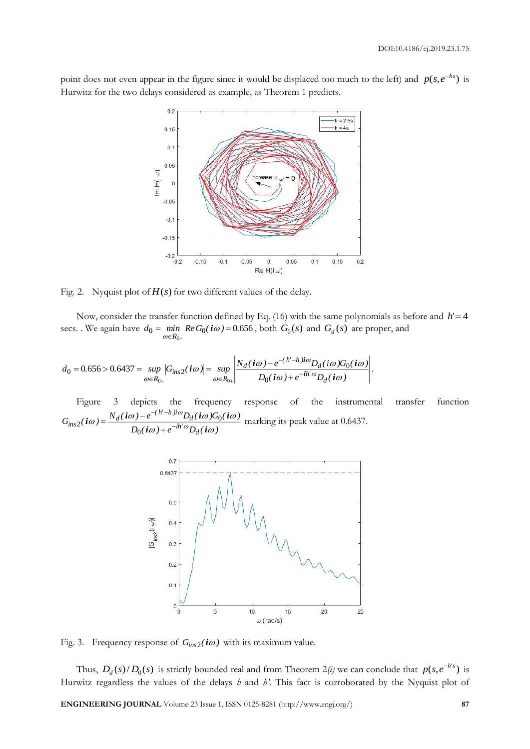point does not even appear in the figure since it would be displaced too much to the left) and  $p(s, e^{-hs})$  is Hurwitz for the two delays considered as example, as Theorem 1 predicts.



Fig. 2. Nyquist plot of  $H(s)$  for two different values of the delay.

Now, consider the transfer function defined by Eq.  $(16)$  with the same polynomials as before and  $h' = 4$ secs. . We again have  $d_0 = \min_{\omega \in R_{0+}} Re G_0(i\omega) = 0.656$  $d_0 = \min_{\omega \in R_{0+}} Re\, G_0(i\omega) = 0.$  $\omega$  $\omega$ *) = 0.656, both*  $G_0(s)$  *and*  $G_d(s)$  *are proper, and* 

$$
d_0 = 0.656 > 0.6437 = \sup_{\omega \in R_{0+}} \left| G_{ins2}(i\omega) \right| = \sup_{\omega \in R_{0+}} \left| \frac{N_d(i\omega) - e^{-(h'-h)i\omega} D_d(i\omega) G_0(i\omega)}{D_0(i\omega) + e^{-ih'\omega} D_d(i\omega)} \right|.
$$

Figure 3 depicts the frequency response of the instrumental transfer function  $D_0(i\omega) + e^{-i\omega \omega} D_d(i\omega)$  $G_{ins2}(i\omega) = \frac{N_d(i\omega) - e^{-(n-\theta)t\omega}D_d(i\omega)G_0(i\omega)}{d\omega}$  $^{ih' \omega}D_d$  $d_{\text{rms2}}(i\omega) = \frac{N_d(i\omega) - e^{-(h'-h)i\omega}D_d(i\omega)}{D_0(i\omega) + e^{-ih'\omega}D_d(i\omega)}$  $\omega = \frac{N_d (1\omega) - e^{-(1-\alpha)/2} D_d (1\omega) G_0 (1\omega)}{D_d (1\omega) - i\hbar^2 \omega D_d (1\omega)}$ ω  $i\omega + e^{-i\mu \omega} D_{\nu}(i\omega)$  $\boldsymbol{i}\omega$ ) =  $\frac{N_d(\boldsymbol{i}\omega) - e^{-(\boldsymbol{i}\omega - \boldsymbol{i})/\omega}D_d(\boldsymbol{i}\omega)G_0(\boldsymbol{i})}{D_n(\boldsymbol{i}\omega) + e^{-i\boldsymbol{i}\omega}D_n(\boldsymbol{i}\omega)}$  $\neg$   $\mu$   $\neg$  $^+$  $=\frac{N_d (100)}{D_0(}$  $\sigma_2(i\omega) = \frac{N_d(i\omega) - e^{-i\omega}}{i\omega}$  marking its peak value at 0.6437.



Fig. 3. Frequency response of  $G_{ins2}(i\omega)$  with its maximum value.

Thus,  $D_d(s)/D_0(s)$  is strictly bounded real and from Theorem 2(i) we can conclude that  $p(s, e^{-h^s s})$  is Hurwitz regardless the values of the delays *h* and *h'*. This fact is corroborated by the Nyquist plot of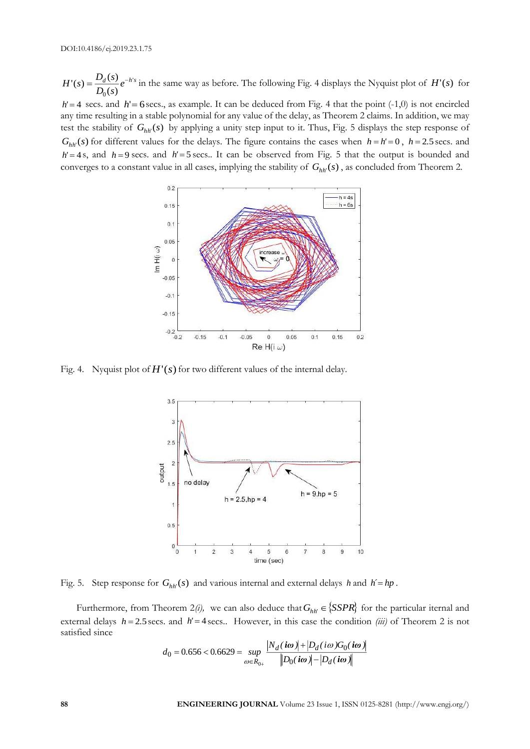$\frac{a}{D_0(s)}e$  $H'(s) = \frac{D_d(s)}{2} e^{-h^2}$  $_{0} (s)$  $f(s) = \frac{D_d(s)}{D_s} e^{-h^s s}$  in the same way as before. The following Fig. 4 displays the Nyquist plot of  $H^1(s)$  for

 $h'$  = 4 secs. and  $h'$  = 6 secs., as example. It can be deduced from Fig. 4 that the point (-1,0) is not encircled any time resulting in a stable polynomial for any value of the delay, as Theorem 2 claims. In addition, we may test the stability of  $G_{hh}(s)$  by applying a unity step input to it. Thus, Fig. 5 displays the step response of  $G_{hh}(s)$  for different values for the delays. The figure contains the cases when  $h = h' = 0$ ,  $h = 2.5$  secs. and  $h'$  = 4s, and  $h$  = 9 secs. and  $h'$  = 5 secs.. It can be observed from Fig. 5 that the output is bounded and converges to a constant value in all cases, implying the stability of  $G_{hh}(s)$ , as concluded from Theorem 2.



Fig. 4. Nyquist plot of  $H'(s)$  for two different values of the internal delay.



Fig. 5. Step response for  $G_{hh}(s)$  and various internal and external delays h and  $h'=hp$ .

Furthermore, from Theorem 2(*i*), we can also deduce that  $G_{hh'} \in \{SSPR\}$  for the particular iternal and external delays  $h = 2.5$  secs. and  $h' = 4$  secs.. However, in this case the condition *(iii)* of Theorem 2 is not satisfied since

$$
d_0 = 0.656 < 0.6629 = \sup_{\omega \in R_{0+}} \frac{|N_d(i\omega)| + |D_d(i\omega)G_0(i\omega)|}{|D_0(i\omega)| - |D_d(i\omega)|}
$$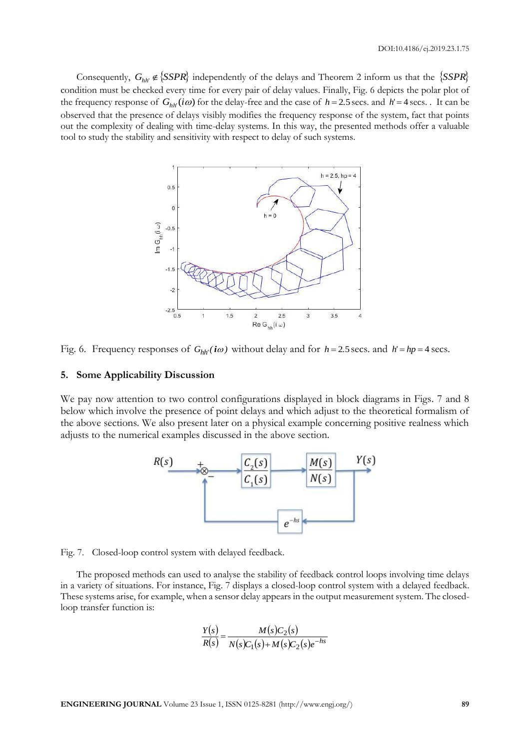Consequently,  $G_{hh'} \notin \{SSPR\}$  independently of the delays and Theorem 2 inform us that the  $\{SSPR\}$ condition must be checked every time for every pair of delay values. Finally, Fig. 6 depicts the polar plot of the frequency response of  $G_{hh'}(i\omega)$  for the delay-free and the case of  $h = 2.5$  secs. and  $h' = 4$  secs. . It can be observed that the presence of delays visibly modifies the frequency response of the system, fact that points out the complexity of dealing with time-delay systems. In this way, the presented methods offer a valuable tool to study the stability and sensitivity with respect to delay of such systems.



Fig. 6. Frequency responses of  $G_{hh'}(i\omega)$  without delay and for  $h = 2.5$  secs. and  $h' = hp = 4$  secs.

## **5. Some Applicability Discussion**

We pay now attention to two control configurations displayed in block diagrams in Figs. 7 and 8 below which involve the presence of point delays and which adjust to the theoretical formalism of the above sections. We also present later on a physical example concerning positive realness which adjusts to the numerical examples discussed in the above section.





The proposed methods can used to analyse the stability of feedback control loops involving time delays in a variety of situations. For instance, Fig. 7 displays a closed-loop control system with a delayed feedback. These systems arise, for example, when a sensor delay appears in the output measurement system. The closedloop transfer function is:

$$
\frac{Y(s)}{R(s)} = \frac{M(s)C_2(s)}{N(s)C_1(s) + M(s)C_2(s)e^{-hs}}
$$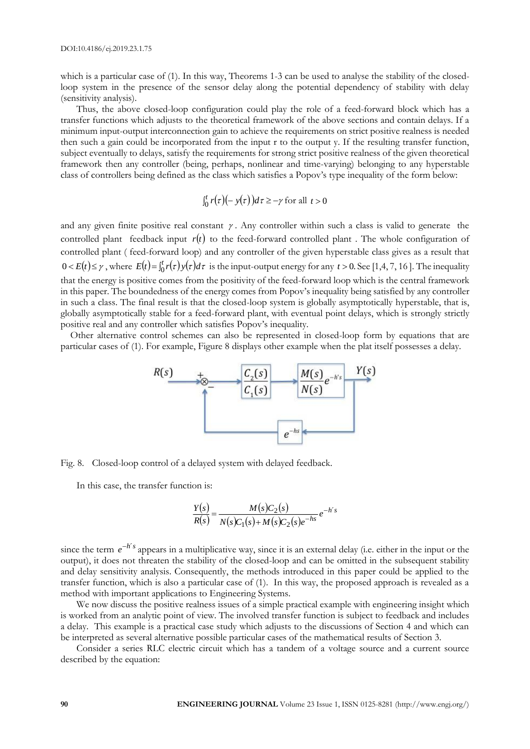which is a particular case of (1). In this way, Theorems 1-3 can be used to analyse the stability of the closedloop system in the presence of the sensor delay along the potential dependency of stability with delay (sensitivity analysis).

Thus, the above closed-loop configuration could play the role of a feed-forward block which has a transfer functions which adjusts to the theoretical framework of the above sections and contain delays. If a minimum input-output interconnection gain to achieve the requirements on strict positive realness is needed then such a gain could be incorporated from the input r to the output y. If the resulting transfer function, subject eventually to delays, satisfy the requirements for strong strict positive realness of the given theoretical framework then any controller (being, perhaps, nonlinear and time-varying) belonging to any hyperstable class of controllers being defined as the class which satisfies a Popov's type inequality of the form below:

$$
\int_0^t r(\tau)(-y(\tau))d\tau \ge -\gamma \text{ for all } t > 0
$$

and any given finite positive real constant  $\gamma$ . Any controller within such a class is valid to generate the controlled plant feedback input  $r(t)$  to the feed-forward controlled plant. The whole configuration of controlled plant ( feed-forward loop) and any controller of the given hyperstable class gives as a result that  $0 < E(t) \le \gamma$ , where  $E(t) = \int_0^t r(\tau) y(\tau) d\tau$  is the input-output energy for any  $t > 0$ . See [1,4, 7, 16]. The inequality that the energy is positive comes from the positivity of the feed-forward loop which is the central framework in this paper. The boundedness of the energy comes from Popov's inequality being satisfied by any controller in such a class. The final result is that the closed-loop system is globally asymptotically hyperstable, that is, globally asymptotically stable for a feed-forward plant, with eventual point delays, which is strongly strictly positive real and any controller which satisfies Popov's inequality.

 Other alternative control schemes can also be represented in closed-loop form by equations that are particular cases of (1). For example, Figure 8 displays other example when the plat itself possesses a delay.



Fig. 8. Closed-loop control of a delayed system with delayed feedback.

In this case, the transfer function is:

$$
\frac{Y(s)}{R(s)} = \frac{M(s)C_2(s)}{N(s)C_1(s) + M(s)C_2(s)e^{-hs}}e^{-h's}
$$

since the term  $e^{-h^s}$  appears in a multiplicative way, since it is an external delay (i.e. either in the input or the output), it does not threaten the stability of the closed-loop and can be omitted in the subsequent stability and delay sensitivity analysis. Consequently, the methods introduced in this paper could be applied to the transfer function, which is also a particular case of (1). In this way, the proposed approach is revealed as a method with important applications to Engineering Systems.

We now discuss the positive realness issues of a simple practical example with engineering insight which is worked from an analytic point of view. The involved transfer function is subject to feedback and includes a delay. This example is a practical case study which adjusts to the discussions of Section 4 and which can be interpreted as several alternative possible particular cases of the mathematical results of Section 3.

Consider a series RLC electric circuit which has a tandem of a voltage source and a current source described by the equation: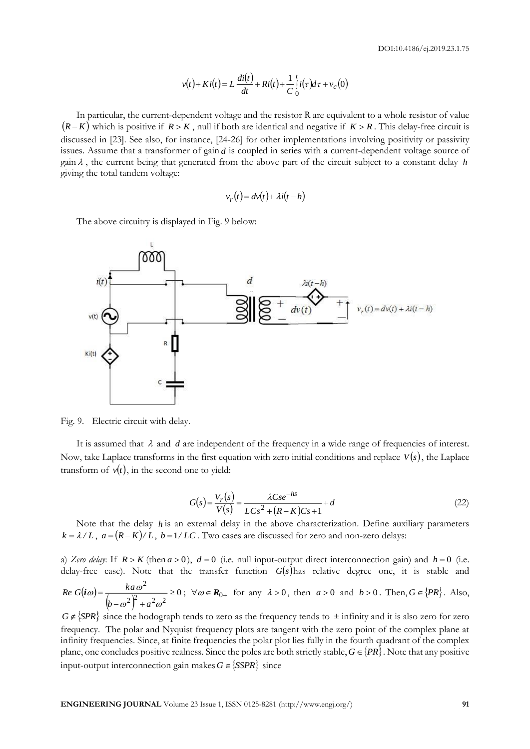$$
v(t) + Ki(t) = L\frac{di(t)}{dt} + Ri(t) + \frac{1}{C}\int_{0}^{t} i(\tau)d\tau + v_c(0)
$$

In particular, the current-dependent voltage and the resistor R are equivalent to a whole resistor of value  $(R - K)$  which is positive if  $R > K$ , null if both are identical and negative if  $K > R$ . This delay-free circuit is discussed in [23]. See also, for instance, [24-26] for other implementations involving positivity or passivity issues. Assume that a transformer of gain *d* is coupled in series with a current-dependent voltage source of gain  $\lambda$ , the current being that generated from the above part of the circuit subject to a constant delay h giving the total tandem voltage:

$$
v_r(t) = dv(t) + \lambda i(t - h)
$$

The above circuitry is displayed in Fig. 9 below:



Fig. 9. Electric circuit with delay.

It is assumed that  $\lambda$  and  $d$  are independent of the frequency in a wide range of frequencies of interest. Now, take Laplace transforms in the first equation with zero initial conditions and replace  $V(s)$ , the Laplace transform of  $v(t)$ , in the second one to yield:

$$
G(s) = \frac{V_r(s)}{V(s)} = \frac{\lambda Cse^{-hs}}{LCs^2 + (R - K)Cs + 1} + d
$$
\n(22)

Note that the delay *h* is an external delay in the above characterization. Define auxiliary parameters  $k = \lambda / L$ ,  $a = (R - K) / L$ ,  $b = 1 / LC$ . Two cases are discussed for zero and non-zero delays:

a) *Zero delay*: If  $R > K$  (then  $a > 0$ ),  $d = 0$  (i.e. null input-output direct interconnection gain) and  $h = 0$  (i.e. delay-free case). Note that the transfer function  $G(s)$  has relative degree one, it is stable and  $(i\omega)$ 2  $\geq$ =  $\omega$ ) =  $\frac{k a \omega}{\sqrt{2}}$  $Re G(i\omega) = \frac{ka\omega^2}{(a-2)^2 - a^2} \ge 0$ ;  $\forall \omega \in R_{0+}$  for any  $\lambda > 0$ , then  $a > 0$  and  $b > 0$ . Then,  $G \in \{PR\}$ . Also,

 $\frac{1}{\left(b-a^2\right)^2 + a^2 \omega^2} \ge 0$  $2^2$  2 2  $-\omega$ <sup>-</sup> l +  $\omega$  +  $a$   $\omega$  $b-a^2$  +  $a$  $G \notin \{SPR\}$  since the hodograph tends to zero as the frequency tends to  $\pm$  infinity and it is also zero for zero

frequency. The polar and Nyquist frequency plots are tangent with the zero point of the complex plane at infinity frequencies. Since, at finite frequencies the polar plot lies fully in the fourth quadrant of the complex plane, one concludes positive realness. Since the poles are both strictly stable,  $G \in \{PR\}$ . Note that any positive input-output interconnection gain makes  $G \in \{SSPR\}$  since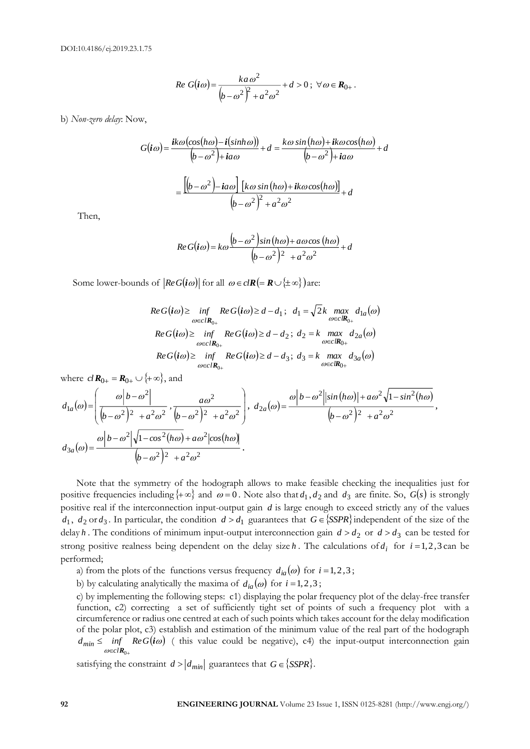$$
Re\ G(i\omega) = \frac{ka\,\omega^2}{\left(b - \omega^2\right)^2 + a^2\omega^2} + d > 0\,;\ \forall\,\omega \in \mathbf{R}_{0+} \,.
$$

b) *Non-zero delay*: Now,

$$
G(i\omega) = \frac{ik\omega(\cos(h\omega) - i(\sinh\omega))}{(b - \omega^2) + i\omega} + d = \frac{k\omega \sin(h\omega) + ik\omega \cos(h\omega)}{(b - \omega^2) + i\omega} + d
$$

$$
= \frac{[(b - \omega^2) - i\omega \omega] [k\omega \sin(h\omega) + ik\omega \cos(h\omega)]}{(b - \omega^2)^2 + \omega^2 \omega^2} + d
$$

Then,

$$
Re\,G(i\omega) = k\omega \frac{\left(b - \omega^2\right)\sin(h\omega) + a\omega \cos(h\omega)}{\left(b - \omega^2\right)^2 + a^2\omega^2} + d
$$

Some lower-bounds of  $|Re G(i\omega)|$  for all  $\omega \in clR (= R \cup \{\pm \infty\})$  are:

$$
Re\ G(i\omega) \ge \inf_{\omega \in c\mathbb{R}_{0+}} Re\ G(i\omega) \ge d - d_1; \ d_1 = \sqrt{2}k \max_{\omega \in c\mathbb{R}_{0+}} d_{1a}(\omega)
$$
  
\n
$$
Re\ G(i\omega) \ge \inf_{\omega \in c\mathbb{R}_{0+}} Re\ G(i\omega) \ge d - d_2; \ d_2 = k \max_{\omega \in c\mathbb{R}_{0+}} d_{2a}(\omega)
$$
  
\n
$$
Re\ G(i\omega) \ge \inf_{\omega \in c\mathbb{R}_{0+}} Re\ G(i\omega) \ge d - d_3; \ d_3 = k \max_{\omega \in c\mathbb{R}_{0+}} d_{3a}(\omega)
$$

where 
$$
cl \mathbf{R}_{0+} = \mathbf{R}_{0+} \cup \{+\infty\}
$$
, and

$$
d_{1a}(\omega) = \left(\frac{\omega|b-\omega^2|}{(b-\omega^2)^2 + a^2\omega^2}, \frac{a\omega^2}{(b-\omega^2)^2 + a^2\omega^2}\right), d_{2a}(\omega) = \frac{\omega|b-\omega^2||\sin(h\omega)| + a\omega^2\sqrt{1-\sin^2(h\omega)}}{(b-\omega^2)^2 + a^2\omega^2},
$$
  

$$
d_{3a}(\omega) = \frac{\omega|b-\omega^2|\sqrt{1-\cos^2(h\omega)} + a\omega^2|\cos(h\omega)|}{(b-\omega^2)^2 + a^2\omega^2}.
$$

**82 EVALUE 1 ENGINEERING CONSULTS AND CONSULTS AND ALSO CONSULTS AND CONSULTS (** $\vec{B}(\vec{b}) = \frac{1}{\langle \vec{b} \cdot \vec{b} \rangle^2 + \alpha^2 \vec{a} \cdot \vec{b} \rangle^2}$  **<b>EVALUE 1 ENGINEERING CONSULTS AND CONSULTS (** $\vec{B}(\vec{b}) = \alpha^2 \vec{b} + \alpha \vec{b}$ **)** Note that the symmetry of the hodograph allows to make feasible checking the inequalities just for positive frequencies including  $\{\pm \infty\}$  and  $\omega = 0$ . Note also that  $d_1$ ,  $d_2$  and  $d_3$  are finite. So,  $G(s)$  is strongly positive real if the interconnection input-output gain *d* is large enough to exceed strictly any of the values  $d_1$ ,  $d_2$  or  $d_3$ . In particular, the condition  $d > d_1$  guarantees that  $G \in \{SSPR\}$  independent of the size of the delay *h*. The conditions of minimum input-output interconnection gain  $d > d_2$  or  $d > d_3$  can be tested for strong positive realness being dependent on the delay size h. The calculations of  $d_i$  for  $i = 1, 2, 3$  can be performed;

a) from the plots of the functions versus frequency  $d_{ia}(\omega)$  for  $i = 1, 2, 3$ ;

b) by calculating analytically the maxima of  $d_{ia}(\omega)$  for  $i = 1, 2, 3$ ;

c) by implementing the following steps: c1) displaying the polar frequency plot of the delay-free transfer function, c2) correcting a set of sufficiently tight set of points of such a frequency plot with a circumference or radius one centred at each of such points which takes account for the delay modification of the polar plot, c3) establish and estimation of the minimum value of the real part of the hodograph  $d_{min} \leq int \ Re G(i\omega)$  (this value could be negative), c4) the input-output interconnection gain  $\omega \in clR_{0+}$ 

satisfying the constraint  $d > |d_{min}|$  guarantees that  $G \in \{SSPR\}.$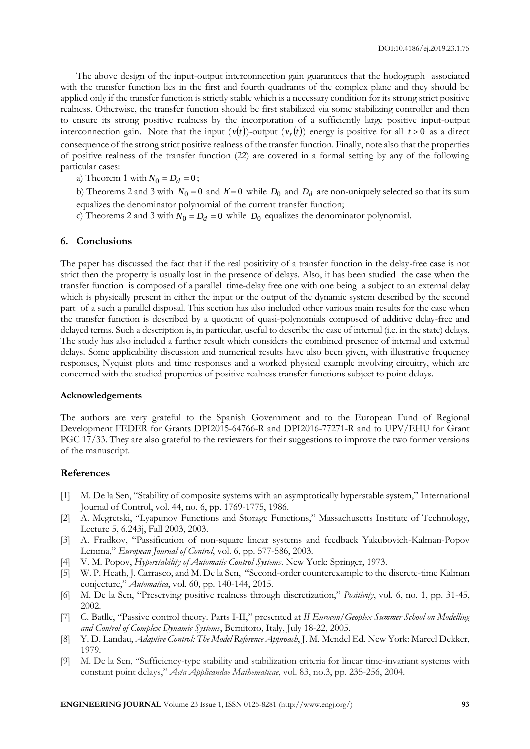The above design of the input-output interconnection gain guarantees that the hodograph associated with the transfer function lies in the first and fourth quadrants of the complex plane and they should be applied only if the transfer function is strictly stable which is a necessary condition for its strong strict positive realness. Otherwise, the transfer function should be first stabilized via some stabilizing controller and then to ensure its strong positive realness by the incorporation of a sufficiently large positive input-output interconnection gain. Note that the input  $(v(t))$ -output  $(v<sub>r</sub>(t))$  energy is positive for all  $t > 0$  as a direct consequence of the strong strict positive realness of the transfer function. Finally, note also that the properties of positive realness of the transfer function (22) are covered in a formal setting by any of the following particular cases:

a) Theorem 1 with  $N_0 = D_d = 0$ ;

b) Theorems 2 and 3 with  $N_0 = 0$  and  $h = 0$  while  $D_0$  and  $D_d$  are non-uniquely selected so that its sum equalizes the denominator polynomial of the current transfer function;

c) Theorems 2 and 3 with  $N_0 = D_d = 0$  while  $D_0$  equalizes the denominator polynomial.

#### **6. Conclusions**

The paper has discussed the fact that if the real positivity of a transfer function in the delay-free case is not strict then the property is usually lost in the presence of delays. Also, it has been studied the case when the transfer function is composed of a parallel time-delay free one with one being a subject to an external delay which is physically present in either the input or the output of the dynamic system described by the second part of a such a parallel disposal. This section has also included other various main results for the case when the transfer function is described by a quotient of quasi-polynomials composed of additive delay-free and delayed terms. Such a description is, in particular, useful to describe the case of internal (i.e. in the state) delays. The study has also included a further result which considers the combined presence of internal and external delays. Some applicability discussion and numerical results have also been given, with illustrative frequency responses, Nyquist plots and time responses and a worked physical example involving circuitry, which are concerned with the studied properties of positive realness transfer functions subject to point delays.

#### **Acknowledgements**

The authors are very grateful to the Spanish Government and to the European Fund of Regional Development FEDER for Grants DPI2015-64766-R and DPI2016-77271-R and to UPV/EHU for Grant PGC 17/33. They are also grateful to the reviewers for their suggestions to improve the two former versions of the manuscript.

#### **References**

- [1] M. De la Sen, "Stability of composite systems with an asymptotically hyperstable system," International Journal of Control, vol. 44, no. 6, pp. 1769-1775, 1986.
- [2] A. Megretski, "Lyapunov Functions and Storage Functions," Massachusetts Institute of Technology, Lecture 5, 6.243j, Fall 2003, 2003.
- [3] A. Fradkov, "Passification of non-square linear systems and feedback Yakubovich-Kalman-Popov Lemma," *European Journal of Control*, vol. 6, pp. 577-586, 2003.
- [4] V. M. Popov, *Hyperstability of Automatic Control Systems*. New York: Springer, 1973.
- [5] W. P. Heath, J. Carrasco, and M. De la Sen, "Second-order counterexample to the discrete-time Kalman conjecture," *Automatica*, vol. 60, pp. 140-144, 2015.
- [6] M. De la Sen, "Preserving positive realness through discretization," *Positivity*, vol. 6, no. 1, pp. 31-45, 2002.
- [7] C. Batlle, "Passive control theory. Parts I-II," presented at *II Eurocon/Geoplex Summer School on Modelling and Control of Complex Dynamic Systems*, Bernitoro, Italy, July 18-22, 2005.
- [8] Y. D. Landau, *Adaptive Control: The Model Reference Approach*, J. M. Mendel Ed. New York: Marcel Dekker, 1979.
- [9] M. De la Sen, "Sufficiency-type stability and stabilization criteria for linear time-invariant systems with constant point delays," *Acta Applicandae Mathematicae*, vol. 83, no.3, pp. 235-256, 2004.